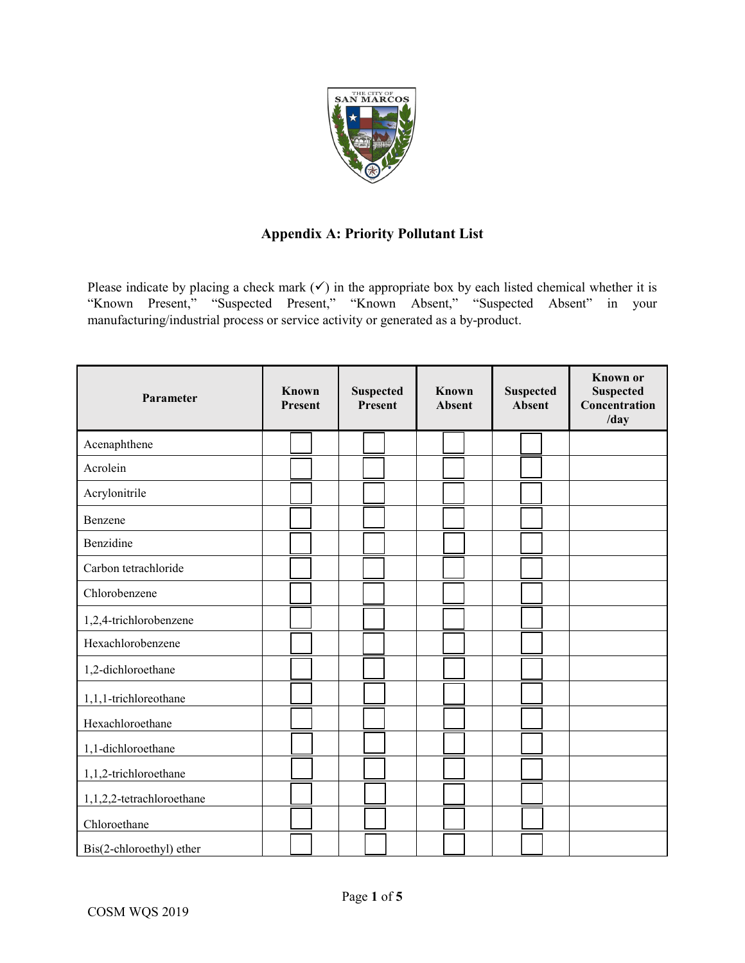

## **Appendix A: Priority Pollutant List**

Please indicate by placing a check mark  $(v)$  in the appropriate box by each listed chemical whether it is "Known Present," "Suspected Present," "Known Absent," "Suspected Absent" in your manufacturing/industrial process or service activity or generated as a by-product.

| Parameter                 | Known<br>Present | <b>Suspected</b><br>Present | Known<br><b>Absent</b> | <b>Suspected</b><br>Absent | <b>Known</b> or<br><b>Suspected</b><br>Concentration<br>/day |
|---------------------------|------------------|-----------------------------|------------------------|----------------------------|--------------------------------------------------------------|
| Acenaphthene              |                  |                             |                        |                            |                                                              |
| Acrolein                  |                  |                             |                        |                            |                                                              |
| Acrylonitrile             |                  |                             |                        |                            |                                                              |
| Benzene                   |                  |                             |                        |                            |                                                              |
| Benzidine                 |                  |                             |                        |                            |                                                              |
| Carbon tetrachloride      |                  |                             |                        |                            |                                                              |
| Chlorobenzene             |                  |                             |                        |                            |                                                              |
| 1,2,4-trichlorobenzene    |                  |                             |                        |                            |                                                              |
| Hexachlorobenzene         |                  |                             |                        |                            |                                                              |
| 1,2-dichloroethane        |                  |                             |                        |                            |                                                              |
| 1,1,1-trichloreothane     |                  |                             |                        |                            |                                                              |
| Hexachloroethane          |                  |                             |                        |                            |                                                              |
| 1,1-dichloroethane        |                  |                             |                        |                            |                                                              |
| 1,1,2-trichloroethane     |                  |                             |                        |                            |                                                              |
| 1,1,2,2-tetrachloroethane |                  |                             |                        |                            |                                                              |
| Chloroethane              |                  |                             |                        |                            |                                                              |
| Bis(2-chloroethyl) ether  |                  |                             |                        |                            |                                                              |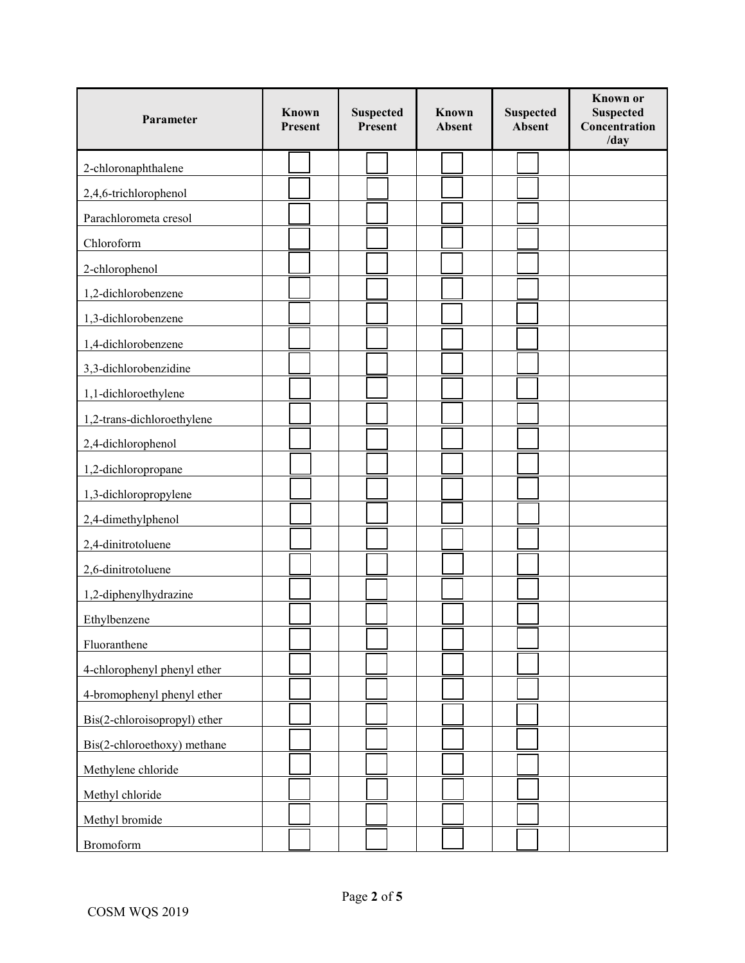| Parameter                    | Known<br>Present | <b>Suspected</b><br>Present | Known<br><b>Absent</b> | <b>Suspected</b><br><b>Absent</b> | <b>Known</b> or<br><b>Suspected</b><br>Concentration<br>/day |
|------------------------------|------------------|-----------------------------|------------------------|-----------------------------------|--------------------------------------------------------------|
| 2-chloronaphthalene          |                  |                             |                        |                                   |                                                              |
| 2,4,6-trichlorophenol        |                  |                             |                        |                                   |                                                              |
| Parachlorometa cresol        |                  |                             |                        |                                   |                                                              |
| Chloroform                   |                  |                             |                        |                                   |                                                              |
| 2-chlorophenol               |                  |                             |                        |                                   |                                                              |
| 1,2-dichlorobenzene          |                  |                             |                        |                                   |                                                              |
| 1,3-dichlorobenzene          |                  |                             |                        |                                   |                                                              |
| 1,4-dichlorobenzene          |                  |                             |                        |                                   |                                                              |
| 3,3-dichlorobenzidine        |                  |                             |                        |                                   |                                                              |
| 1,1-dichloroethylene         |                  |                             |                        |                                   |                                                              |
| 1,2-trans-dichloroethylene   |                  |                             |                        |                                   |                                                              |
| 2,4-dichlorophenol           |                  |                             |                        |                                   |                                                              |
| 1,2-dichloropropane          |                  |                             |                        |                                   |                                                              |
| 1,3-dichloropropylene        |                  |                             |                        |                                   |                                                              |
| 2,4-dimethylphenol           |                  |                             |                        |                                   |                                                              |
| 2,4-dinitrotoluene           |                  |                             |                        |                                   |                                                              |
| 2,6-dinitrotoluene           |                  |                             |                        |                                   |                                                              |
| 1,2-diphenylhydrazine        |                  |                             |                        |                                   |                                                              |
| Ethylbenzene                 |                  |                             |                        |                                   |                                                              |
| Fluoranthene                 |                  |                             |                        |                                   |                                                              |
| 4-chlorophenyl phenyl ether  |                  |                             |                        |                                   |                                                              |
| 4-bromophenyl phenyl ether   |                  |                             |                        |                                   |                                                              |
| Bis(2-chloroisopropyl) ether |                  |                             |                        |                                   |                                                              |
| Bis(2-chloroethoxy) methane  |                  |                             |                        |                                   |                                                              |
| Methylene chloride           |                  |                             |                        |                                   |                                                              |
| Methyl chloride              |                  |                             |                        |                                   |                                                              |
| Methyl bromide               |                  |                             |                        |                                   |                                                              |
| <b>Bromoform</b>             |                  |                             |                        |                                   |                                                              |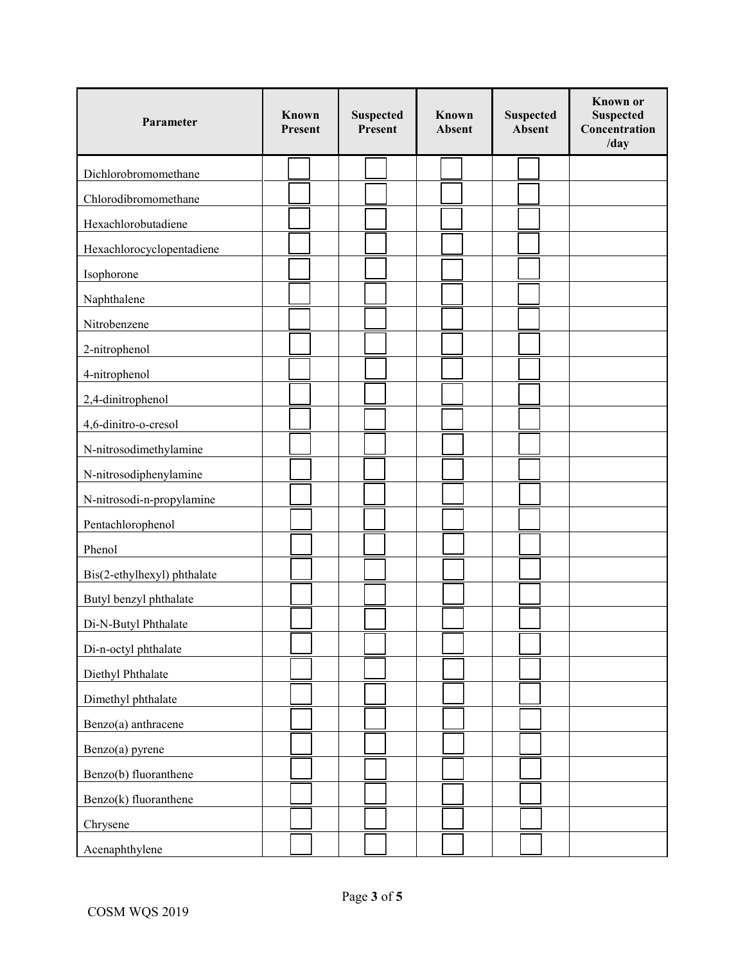| Parameter                   | Known<br>Present | <b>Suspected</b><br>Present | Known<br><b>Absent</b> | <b>Suspected</b><br>Absent | <b>Known</b> or<br><b>Suspected</b><br>Concentration<br>/day |
|-----------------------------|------------------|-----------------------------|------------------------|----------------------------|--------------------------------------------------------------|
| Dichlorobromomethane        |                  |                             |                        |                            |                                                              |
| Chlorodibromomethane        |                  |                             |                        |                            |                                                              |
| Hexachlorobutadiene         |                  |                             |                        |                            |                                                              |
| Hexachlorocyclopentadiene   |                  |                             |                        |                            |                                                              |
| Isophorone                  |                  |                             |                        |                            |                                                              |
| Naphthalene                 |                  |                             |                        |                            |                                                              |
| Nitrobenzene                |                  |                             |                        |                            |                                                              |
| 2-nitrophenol               |                  |                             |                        |                            |                                                              |
| 4-nitrophenol               |                  |                             |                        |                            |                                                              |
| 2,4-dinitrophenol           |                  |                             |                        |                            |                                                              |
| 4,6-dinitro-o-cresol        |                  |                             |                        |                            |                                                              |
| N-nitrosodimethylamine      |                  |                             |                        |                            |                                                              |
| N-nitrosodiphenylamine      |                  |                             |                        |                            |                                                              |
| N-nitrosodi-n-propylamine   |                  |                             |                        |                            |                                                              |
| Pentachlorophenol           |                  |                             |                        |                            |                                                              |
| Phenol                      |                  |                             |                        |                            |                                                              |
| Bis(2-ethylhexyl) phthalate |                  |                             |                        |                            |                                                              |
| Butyl benzyl phthalate      |                  |                             |                        |                            |                                                              |
| Di-N-Butyl Phthalate        |                  |                             |                        |                            |                                                              |
| Di-n-octyl phthalate        |                  |                             |                        |                            |                                                              |
| Diethyl Phthalate           |                  |                             |                        |                            |                                                              |
| Dimethyl phthalate          |                  |                             |                        |                            |                                                              |
| Benzo(a) anthracene         |                  |                             |                        |                            |                                                              |
| Benzo(a) pyrene             |                  |                             |                        |                            |                                                              |
| Benzo(b) fluoranthene       |                  |                             |                        |                            |                                                              |
| Benzo(k) fluoranthene       |                  |                             |                        |                            |                                                              |
| Chrysene                    |                  |                             |                        |                            |                                                              |
| Acenaphthylene              |                  |                             |                        |                            |                                                              |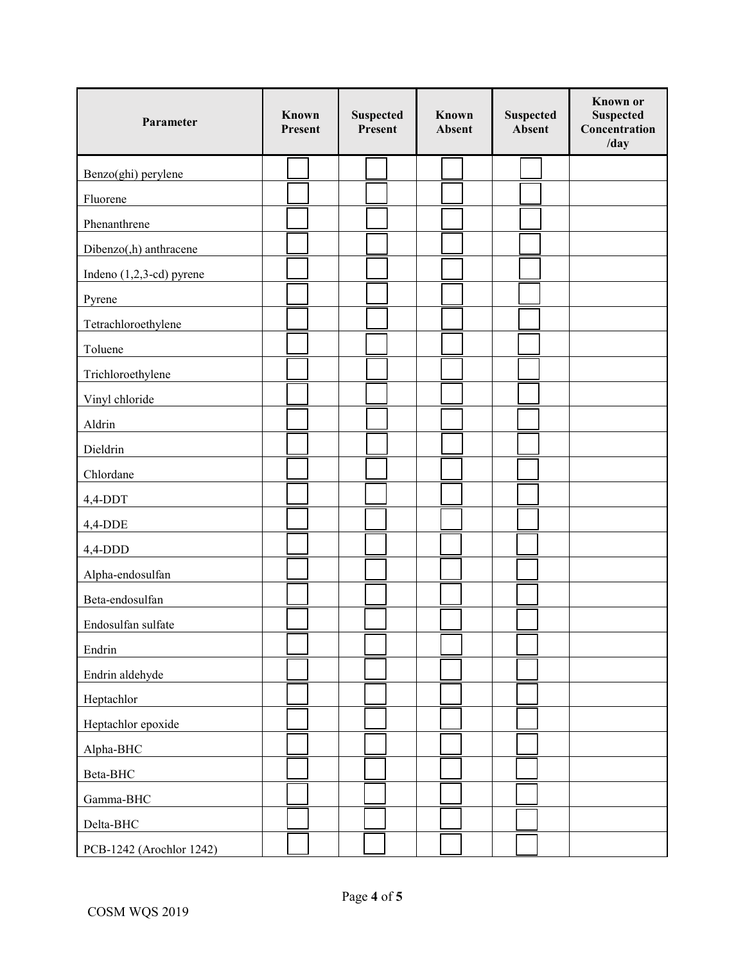| Parameter                   | Known<br>Present | <b>Suspected</b><br>Present | Known<br><b>Absent</b> | <b>Suspected</b><br>Absent | <b>Known</b> or<br><b>Suspected</b><br>Concentration<br>/day |
|-----------------------------|------------------|-----------------------------|------------------------|----------------------------|--------------------------------------------------------------|
| Benzo(ghi) perylene         |                  |                             |                        |                            |                                                              |
| Fluorene                    |                  |                             |                        |                            |                                                              |
| Phenanthrene                |                  |                             |                        |                            |                                                              |
| Dibenzo(,h) anthracene      |                  |                             |                        |                            |                                                              |
| Indeno $(1,2,3$ -cd) pyrene |                  |                             |                        |                            |                                                              |
| Pyrene                      |                  |                             |                        |                            |                                                              |
| Tetrachloroethylene         |                  |                             |                        |                            |                                                              |
| Toluene                     |                  |                             |                        |                            |                                                              |
| Trichloroethylene           |                  |                             |                        |                            |                                                              |
| Vinyl chloride              |                  |                             |                        |                            |                                                              |
| Aldrin                      |                  |                             |                        |                            |                                                              |
| Dieldrin                    |                  |                             |                        |                            |                                                              |
| Chlordane                   |                  |                             |                        |                            |                                                              |
| 4,4-DDT                     |                  |                             |                        |                            |                                                              |
| 4,4-DDE                     |                  |                             |                        |                            |                                                              |
| 4,4-DDD                     |                  |                             |                        |                            |                                                              |
| Alpha-endosulfan            |                  |                             |                        |                            |                                                              |
| Beta-endosulfan             |                  |                             |                        |                            |                                                              |
| Endosulfan sulfate          |                  |                             |                        |                            |                                                              |
| Endrin                      |                  |                             |                        |                            |                                                              |
| Endrin aldehyde             |                  |                             |                        |                            |                                                              |
| Heptachlor                  |                  |                             |                        |                            |                                                              |
| Heptachlor epoxide          |                  |                             |                        |                            |                                                              |
| Alpha-BHC                   |                  |                             |                        |                            |                                                              |
| Beta-BHC                    |                  |                             |                        |                            |                                                              |
| Gamma-BHC                   |                  |                             |                        |                            |                                                              |
| Delta-BHC                   |                  |                             |                        |                            |                                                              |
| PCB-1242 (Arochlor 1242)    |                  |                             |                        |                            |                                                              |